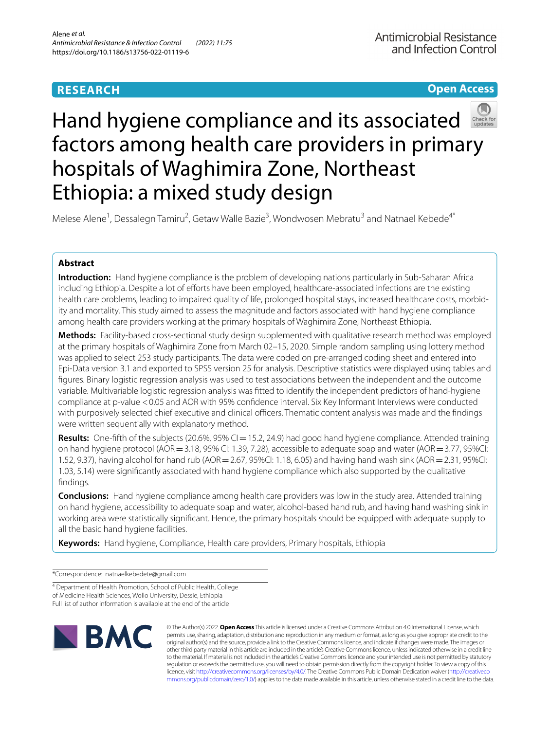# **RESEARCH**

# **Open Access**



# Hand hygiene compliance and its associated factors among health care providers in primary hospitals of Waghimira Zone, Northeast Ethiopia: a mixed study design

Melese Alene<sup>1</sup>, Dessalegn Tamiru<sup>2</sup>, Getaw Walle Bazie<sup>3</sup>, Wondwosen Mebratu<sup>3</sup> and Natnael Kebede<sup>4\*</sup>

# **Abstract**

**Introduction:** Hand hygiene compliance is the problem of developing nations particularly in Sub-Saharan Africa including Ethiopia. Despite a lot of eforts have been employed, healthcare-associated infections are the existing health care problems, leading to impaired quality of life, prolonged hospital stays, increased healthcare costs, morbidity and mortality. This study aimed to assess the magnitude and factors associated with hand hygiene compliance among health care providers working at the primary hospitals of Waghimira Zone, Northeast Ethiopia.

**Methods:** Facility-based cross-sectional study design supplemented with qualitative research method was employed at the primary hospitals of Waghimira Zone from March 02–15, 2020. Simple random sampling using lottery method was applied to select 253 study participants. The data were coded on pre-arranged coding sheet and entered into Epi-Data version 3.1 and exported to SPSS version 25 for analysis. Descriptive statistics were displayed using tables and fgures. Binary logistic regression analysis was used to test associations between the independent and the outcome variable. Multivariable logistic regression analysis was ftted to identify the independent predictors of hand-hygiene compliance at p-value <0.05 and AOR with 95% confdence interval. Six Key Informant Interviews were conducted with purposively selected chief executive and clinical officers. Thematic content analysis was made and the findings were written sequentially with explanatory method.

**Results:** One-fifth of the subjects (20.6%, 95% CI = 15.2, 24.9) had good hand hygiene compliance. Attended training on hand hygiene protocol (AOR=3.18, 95% CI: 1.39, 7.28), accessible to adequate soap and water (AOR=3.77, 95%CI: 1.52, 9.37), having alcohol for hand rub (AOR=2.67, 95%CI: 1.18, 6.05) and having hand wash sink (AOR=2.31, 95%CI: 1.03, 5.14) were signifcantly associated with hand hygiene compliance which also supported by the qualitative fndings.

**Conclusions:** Hand hygiene compliance among health care providers was low in the study area. Attended training on hand hygiene, accessibility to adequate soap and water, alcohol-based hand rub, and having hand washing sink in working area were statistically signifcant. Hence, the primary hospitals should be equipped with adequate supply to all the basic hand hygiene facilities.

**Keywords:** Hand hygiene, Compliance, Health care providers, Primary hospitals, Ethiopia

\*Correspondence: natnaelkebedete@gmail.com

4 Department of Health Promotion, School of Public Health, College of Medicine Health Sciences, Wollo University, Dessie, Ethiopia Full list of author information is available at the end of the article



© The Author(s) 2022. **Open Access** This article is licensed under a Creative Commons Attribution 4.0 International License, which permits use, sharing, adaptation, distribution and reproduction in any medium or format, as long as you give appropriate credit to the original author(s) and the source, provide a link to the Creative Commons licence, and indicate if changes were made. The images or other third party material in this article are included in the article's Creative Commons licence, unless indicated otherwise in a credit line to the material. If material is not included in the article's Creative Commons licence and your intended use is not permitted by statutory regulation or exceeds the permitted use, you will need to obtain permission directly from the copyright holder. To view a copy of this licence, visit [http://creativecommons.org/licenses/by/4.0/.](http://creativecommons.org/licenses/by/4.0/) The Creative Commons Public Domain Dedication waiver ([http://creativeco](http://creativecommons.org/publicdomain/zero/1.0/) [mmons.org/publicdomain/zero/1.0/](http://creativecommons.org/publicdomain/zero/1.0/)) applies to the data made available in this article, unless otherwise stated in a credit line to the data.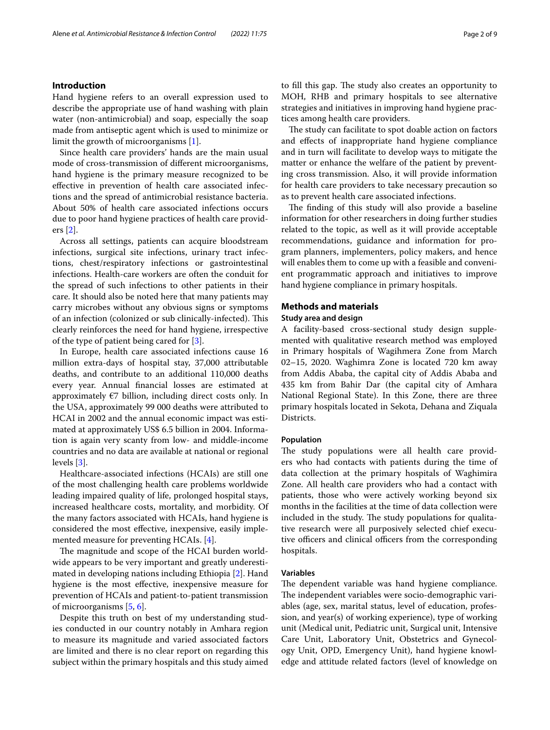# **Introduction**

Hand hygiene refers to an overall expression used to describe the appropriate use of hand washing with plain water (non-antimicrobial) and soap, especially the soap made from antiseptic agent which is used to minimize or limit the growth of microorganisms [\[1](#page-8-0)].

Since health care providers' hands are the main usual mode of cross-transmission of diferent microorganisms, hand hygiene is the primary measure recognized to be efective in prevention of health care associated infections and the spread of antimicrobial resistance bacteria. About 50% of health care associated infections occurs due to poor hand hygiene practices of health care providers [\[2](#page-8-1)].

Across all settings, patients can acquire bloodstream infections, surgical site infections, urinary tract infections, chest/respiratory infections or gastrointestinal infections. Health-care workers are often the conduit for the spread of such infections to other patients in their care. It should also be noted here that many patients may carry microbes without any obvious signs or symptoms of an infection (colonized or sub clinically-infected). This clearly reinforces the need for hand hygiene, irrespective of the type of patient being cared for [[3\]](#page-8-2).

In Europe, health care associated infections cause 16 million extra-days of hospital stay, 37,000 attributable deaths, and contribute to an additional 110,000 deaths every year. Annual fnancial losses are estimated at approximately  $E$ 7 billion, including direct costs only. In the USA, approximately 99 000 deaths were attributed to HCAI in 2002 and the annual economic impact was estimated at approximately US\$ 6.5 billion in 2004. Information is again very scanty from low- and middle-income countries and no data are available at national or regional levels [[3\]](#page-8-2).

Healthcare-associated infections (HCAIs) are still one of the most challenging health care problems worldwide leading impaired quality of life, prolonged hospital stays, increased healthcare costs, mortality, and morbidity. Of the many factors associated with HCAIs, hand hygiene is considered the most efective, inexpensive, easily implemented measure for preventing HCAIs. [\[4\]](#page-8-3).

The magnitude and scope of the HCAI burden worldwide appears to be very important and greatly underestimated in developing nations including Ethiopia [\[2](#page-8-1)]. Hand hygiene is the most efective, inexpensive measure for prevention of HCAIs and patient-to-patient transmission of microorganisms [[5,](#page-8-4) [6](#page-8-5)].

Despite this truth on best of my understanding studies conducted in our country notably in Amhara region to measure its magnitude and varied associated factors are limited and there is no clear report on regarding this subject within the primary hospitals and this study aimed to fill this gap. The study also creates an opportunity to MOH, RHB and primary hospitals to see alternative strategies and initiatives in improving hand hygiene practices among health care providers.

The study can facilitate to spot doable action on factors and efects of inappropriate hand hygiene compliance and in turn will facilitate to develop ways to mitigate the matter or enhance the welfare of the patient by preventing cross transmission. Also, it will provide information for health care providers to take necessary precaution so as to prevent health care associated infections.

The finding of this study will also provide a baseline information for other researchers in doing further studies related to the topic, as well as it will provide acceptable recommendations, guidance and information for program planners, implementers, policy makers, and hence will enables them to come up with a feasible and convenient programmatic approach and initiatives to improve hand hygiene compliance in primary hospitals.

# **Methods and materials**

#### **Study area and design**

A facility-based cross-sectional study design supplemented with qualitative research method was employed in Primary hospitals of Wagihmera Zone from March 02–15, 2020. Waghimra Zone is located 720 km away from Addis Ababa, the capital city of Addis Ababa and 435 km from Bahir Dar (the capital city of Amhara National Regional State). In this Zone, there are three primary hospitals located in Sekota, Dehana and Ziquala Districts.

## **Population**

The study populations were all health care providers who had contacts with patients during the time of data collection at the primary hospitals of Waghimira Zone. All health care providers who had a contact with patients, those who were actively working beyond six months in the facilities at the time of data collection were included in the study. The study populations for qualitative research were all purposively selected chief executive officers and clinical officers from the corresponding hospitals.

#### **Variables**

The dependent variable was hand hygiene compliance. The independent variables were socio-demographic variables (age, sex, marital status, level of education, profession, and year(s) of working experience), type of working unit (Medical unit, Pediatric unit, Surgical unit, Intensive Care Unit, Laboratory Unit, Obstetrics and Gynecology Unit, OPD, Emergency Unit), hand hygiene knowledge and attitude related factors (level of knowledge on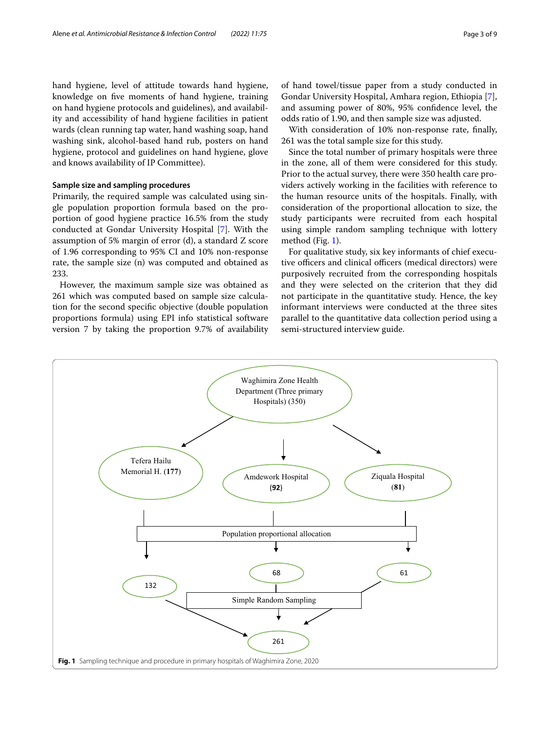hand hygiene, level of attitude towards hand hygiene, knowledge on fve moments of hand hygiene, training on hand hygiene protocols and guidelines), and availability and accessibility of hand hygiene facilities in patient wards (clean running tap water, hand washing soap, hand washing sink, alcohol-based hand rub, posters on hand hygiene, protocol and guidelines on hand hygiene, glove and knows availability of IP Committee).

# **Sample size and sampling procedures**

Primarily, the required sample was calculated using single population proportion formula based on the proportion of good hygiene practice 16.5% from the study conducted at Gondar University Hospital [[7\]](#page-8-6). With the assumption of 5% margin of error (d), a standard Z score of 1.96 corresponding to 95% CI and 10% non-response rate, the sample size (n) was computed and obtained as 233.

However, the maximum sample size was obtained as 261 which was computed based on sample size calculation for the second specifc objective (double population proportions formula) using EPI info statistical software version 7 by taking the proportion 9.7% of availability

of hand towel/tissue paper from a study conducted in Gondar University Hospital, Amhara region, Ethiopia [\[7](#page-8-6)], and assuming power of 80%, 95% confdence level, the odds ratio of 1.90, and then sample size was adjusted.

With consideration of 10% non-response rate, fnally, 261 was the total sample size for this study.

Since the total number of primary hospitals were three in the zone, all of them were considered for this study. Prior to the actual survey, there were 350 health care providers actively working in the facilities with reference to the human resource units of the hospitals. Finally, with consideration of the proportional allocation to size, the study participants were recruited from each hospital using simple random sampling technique with lottery method (Fig. [1](#page-2-0)).

For qualitative study, six key informants of chief executive officers and clinical officers (medical directors) were purposively recruited from the corresponding hospitals and they were selected on the criterion that they did not participate in the quantitative study. Hence, the key informant interviews were conducted at the three sites parallel to the quantitative data collection period using a semi-structured interview guide.

<span id="page-2-0"></span>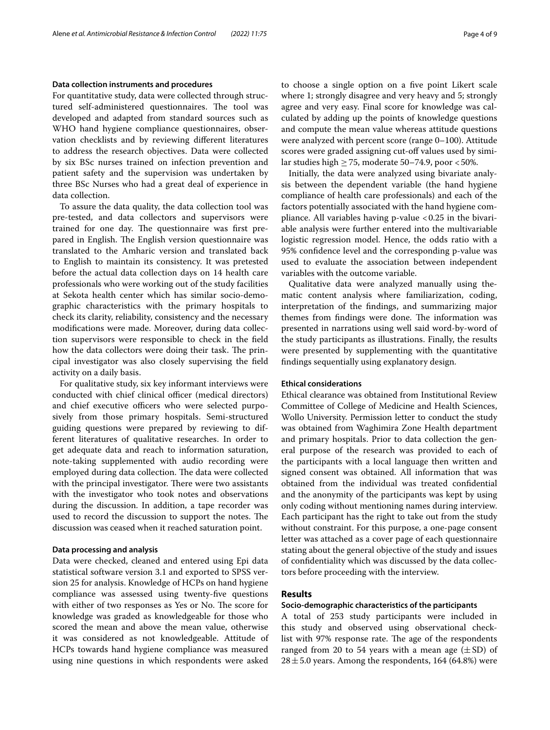#### **Data collection instruments and procedures**

For quantitative study, data were collected through structured self-administered questionnaires. The tool was developed and adapted from standard sources such as WHO hand hygiene compliance questionnaires, observation checklists and by reviewing diferent literatures to address the research objectives. Data were collected by six BSc nurses trained on infection prevention and patient safety and the supervision was undertaken by three BSc Nurses who had a great deal of experience in data collection.

To assure the data quality, the data collection tool was pre-tested, and data collectors and supervisors were trained for one day. The questionnaire was first prepared in English. The English version questionnaire was translated to the Amharic version and translated back to English to maintain its consistency. It was pretested before the actual data collection days on 14 health care professionals who were working out of the study facilities at Sekota health center which has similar socio-demographic characteristics with the primary hospitals to check its clarity, reliability, consistency and the necessary modifcations were made. Moreover, during data collection supervisors were responsible to check in the feld how the data collectors were doing their task. The principal investigator was also closely supervising the feld activity on a daily basis.

For qualitative study, six key informant interviews were conducted with chief clinical officer (medical directors) and chief executive officers who were selected purposively from those primary hospitals. Semi-structured guiding questions were prepared by reviewing to different literatures of qualitative researches. In order to get adequate data and reach to information saturation, note-taking supplemented with audio recording were employed during data collection. The data were collected with the principal investigator. There were two assistants with the investigator who took notes and observations during the discussion. In addition, a tape recorder was used to record the discussion to support the notes. The discussion was ceased when it reached saturation point.

# **Data processing and analysis**

Data were checked, cleaned and entered using Epi data statistical software version 3.1 and exported to SPSS version 25 for analysis. Knowledge of HCPs on hand hygiene compliance was assessed using twenty-fve questions with either of two responses as Yes or No. The score for knowledge was graded as knowledgeable for those who scored the mean and above the mean value, otherwise it was considered as not knowledgeable. Attitude of HCPs towards hand hygiene compliance was measured using nine questions in which respondents were asked to choose a single option on a fve point Likert scale where 1; strongly disagree and very heavy and 5; strongly agree and very easy. Final score for knowledge was calculated by adding up the points of knowledge questions and compute the mean value whereas attitude questions were analyzed with percent score (range 0–100). Attitude scores were graded assigning cut-off values used by similar studies high  $> 75$ , moderate 50–74.9, poor <50%.

Initially, the data were analyzed using bivariate analysis between the dependent variable (the hand hygiene compliance of health care professionals) and each of the factors potentially associated with the hand hygiene compliance. All variables having  $p$ -value  $\langle 0.25 \rangle$  in the bivariable analysis were further entered into the multivariable logistic regression model. Hence, the odds ratio with a 95% confdence level and the corresponding p-value was used to evaluate the association between independent variables with the outcome variable.

Qualitative data were analyzed manually using thematic content analysis where familiarization, coding, interpretation of the fndings, and summarizing major themes from findings were done. The information was presented in narrations using well said word-by-word of the study participants as illustrations. Finally, the results were presented by supplementing with the quantitative fndings sequentially using explanatory design.

#### **Ethical considerations**

Ethical clearance was obtained from Institutional Review Committee of College of Medicine and Health Sciences, Wollo University. Permission letter to conduct the study was obtained from Waghimira Zone Health department and primary hospitals. Prior to data collection the general purpose of the research was provided to each of the participants with a local language then written and signed consent was obtained. All information that was obtained from the individual was treated confdential and the anonymity of the participants was kept by using only coding without mentioning names during interview. Each participant has the right to take out from the study without constraint. For this purpose, a one-page consent letter was attached as a cover page of each questionnaire stating about the general objective of the study and issues of confdentiality which was discussed by the data collectors before proceeding with the interview.

# **Results**

## **Socio‑demographic characteristics of the participants**

A total of 253 study participants were included in this study and observed using observational checklist with 97% response rate. The age of the respondents ranged from 20 to 54 years with a mean age  $(\pm SD)$  of  $28 \pm 5.0$  years. Among the respondents, 164 (64.8%) were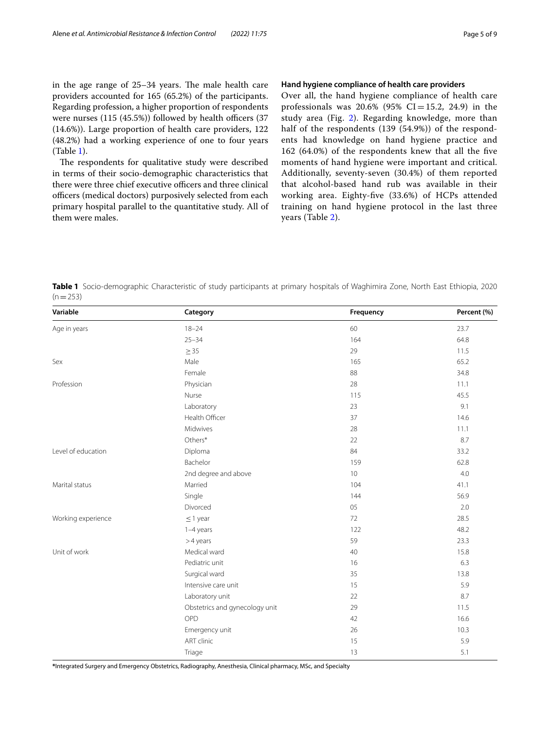in the age range of  $25-34$  years. The male health care providers accounted for 165 (65.2%) of the participants. Regarding profession, a higher proportion of respondents were nurses  $(115 (45.5%)$  followed by health officers  $(37)$ (14.6%)). Large proportion of health care providers, 122 (48.2%) had a working experience of one to four years (Table [1](#page-4-0)).

The respondents for qualitative study were described in terms of their socio-demographic characteristics that there were three chief executive officers and three clinical officers (medical doctors) purposively selected from each primary hospital parallel to the quantitative study. All of them were males.

### **Hand hygiene compliance of health care providers**

Over all, the hand hygiene compliance of health care professionals was  $20.6\%$  (95% CI=15.2, 24.9) in the study area (Fig. [2\)](#page-5-0). Regarding knowledge, more than half of the respondents (139 (54.9%)) of the respondents had knowledge on hand hygiene practice and 162 (64.0%) of the respondents knew that all the fve moments of hand hygiene were important and critical. Additionally, seventy-seven (30.4%) of them reported that alcohol-based hand rub was available in their working area. Eighty-fve (33.6%) of HCPs attended training on hand hygiene protocol in the last three years (Table [2\)](#page-5-1).

<span id="page-4-0"></span>**Table 1** Socio-demographic Characteristic of study participants at primary hospitals of Waghimira Zone, North East Ethiopia, 2020  $(n=253)$ 

| Variable           | Category                       | Frequency | Percent (%) |
|--------------------|--------------------------------|-----------|-------------|
| Age in years       | $18 - 24$                      | 60        | 23.7        |
|                    | $25 - 34$                      | 164       | 64.8        |
|                    | $\geq$ 35                      | 29        | 11.5        |
| Sex                | Male                           | 165       | 65.2        |
|                    | Female                         | 88        | 34.8        |
| Profession         | Physician                      | 28        | 11.1        |
|                    | Nurse                          | 115       | 45.5        |
|                    | Laboratory                     | 23        | 9.1         |
|                    | Health Officer                 | 37        | 14.6        |
|                    | Midwives                       | 28        | 11.1        |
|                    | Others*                        | 22        | 8.7         |
| Level of education | Diploma                        | 84        | 33.2        |
|                    | Bachelor                       | 159       | 62.8        |
|                    | 2nd degree and above           | 10        | 4.0         |
| Marital status     | Married                        | 104       | 41.1        |
|                    | Single                         | 144       | 56.9        |
|                    | Divorced                       | 05        | 2.0         |
| Working experience | $\leq$ 1 year                  | 72        | 28.5        |
|                    | 1-4 years                      | 122       | 48.2        |
|                    | $>4$ years                     | 59        | 23.3        |
| Unit of work       | Medical ward                   | 40        | 15.8        |
|                    | Pediatric unit                 | 16        | 6.3         |
|                    | Surgical ward                  | 35        | 13.8        |
|                    | Intensive care unit            | 15        | 5.9         |
|                    | Laboratory unit                | 22        | 8.7         |
|                    | Obstetrics and gynecology unit | 29        | 11.5        |
|                    | OPD                            | 42        | 16.6        |
|                    | Emergency unit                 | 26        | 10.3        |
|                    | <b>ART</b> clinic              | 15        | 5.9         |
|                    | Triage                         | 13        | 5.1         |

**\***Integrated Surgery and Emergency Obstetrics, Radiography, Anesthesia, Clinical pharmacy, MSc, and Specialty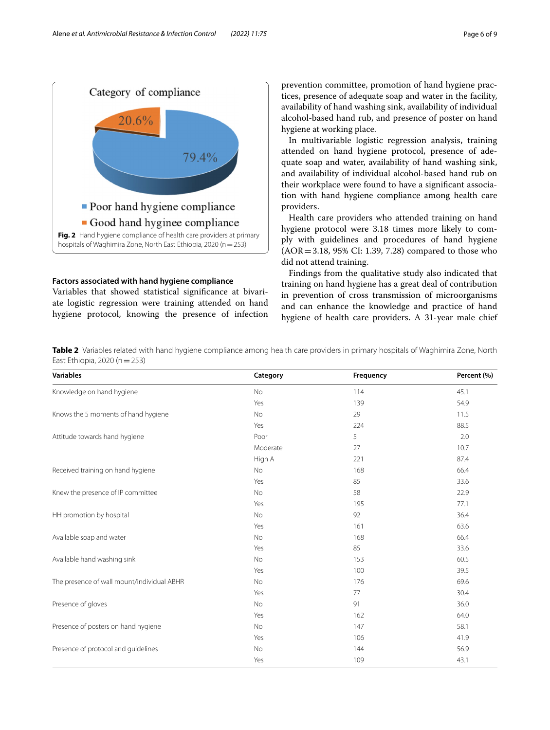

# <span id="page-5-0"></span>**Factors associated with hand hygiene compliance**

Variables that showed statistical signifcance at bivariate logistic regression were training attended on hand hygiene protocol, knowing the presence of infection prevention committee, promotion of hand hygiene practices, presence of adequate soap and water in the facility, availability of hand washing sink, availability of individual alcohol-based hand rub, and presence of poster on hand hygiene at working place.

In multivariable logistic regression analysis, training attended on hand hygiene protocol, presence of adequate soap and water, availability of hand washing sink, and availability of individual alcohol-based hand rub on their workplace were found to have a signifcant association with hand hygiene compliance among health care providers.

Health care providers who attended training on hand hygiene protocol were 3.18 times more likely to comply with guidelines and procedures of hand hygiene (AOR=3.18, 95% CI: 1.39, 7.28) compared to those who did not attend training.

Findings from the qualitative study also indicated that training on hand hygiene has a great deal of contribution in prevention of cross transmission of microorganisms and can enhance the knowledge and practice of hand hygiene of health care providers. A 31-year male chief

<span id="page-5-1"></span>**Table 2** Variables related with hand hygiene compliance among health care providers in primary hospitals of Waghimira Zone, North East Ethiopia, 2020 (n=253)

| <b>Variables</b>                           | Category | Frequency | Percent (%) |
|--------------------------------------------|----------|-----------|-------------|
| Knowledge on hand hygiene                  | No       | 114       | 45.1        |
|                                            | Yes      | 139       | 54.9        |
| Knows the 5 moments of hand hygiene        | No       | 29        | 11.5        |
|                                            | Yes      | 224       | 88.5        |
| Attitude towards hand hygiene              | Poor     | 5         | 2.0         |
|                                            | Moderate | 27        | 10.7        |
|                                            | High A   | 221       | 87.4        |
| Received training on hand hygiene          | No       | 168       | 66.4        |
|                                            | Yes      | 85        | 33.6        |
| Knew the presence of IP committee          | No       | 58        | 22.9        |
|                                            | Yes      | 195       | 77.1        |
| HH promotion by hospital                   | No       | 92        | 36.4        |
|                                            | Yes      | 161       | 63.6        |
| Available soap and water                   | No       | 168       | 66.4        |
|                                            | Yes      | 85        | 33.6        |
| Available hand washing sink                | No       | 153       | 60.5        |
|                                            | Yes      | 100       | 39.5        |
| The presence of wall mount/individual ABHR | No       | 176       | 69.6        |
|                                            | Yes      | 77        | 30.4        |
| Presence of gloves                         | No       | 91        | 36.0        |
|                                            | Yes      | 162       | 64.0        |
| Presence of posters on hand hygiene        | No       | 147       | 58.1        |
|                                            | Yes      | 106       | 41.9        |
| Presence of protocol and guidelines        | No       | 144       | 56.9        |
|                                            | Yes      | 109       | 43.1        |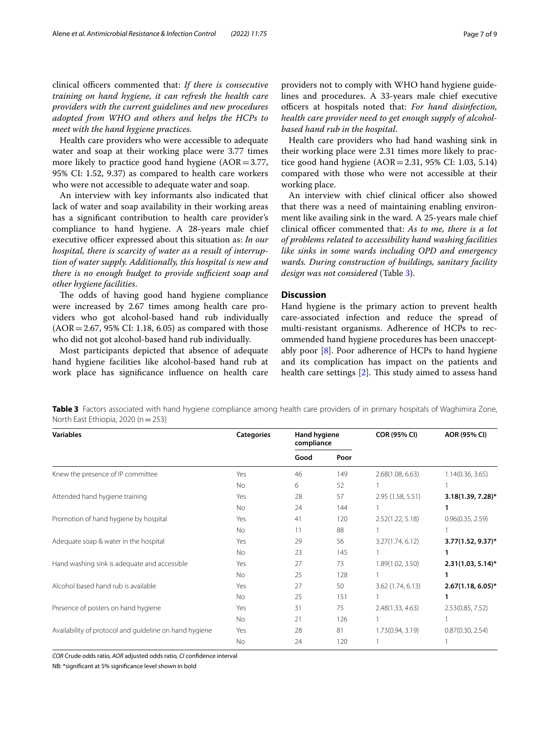clinical officers commented that: *If there is consecutive training on hand hygiene, it can refresh the health care providers with the current guidelines and new procedures adopted from WHO and others and helps the HCPs to meet with the hand hygiene practices*.

Health care providers who were accessible to adequate water and soap at their working place were 3.77 times more likely to practice good hand hygiene  $(AOR = 3.77,$ 95% CI: 1.52, 9.37) as compared to health care workers who were not accessible to adequate water and soap.

An interview with key informants also indicated that lack of water and soap availability in their working areas has a signifcant contribution to health care provider's compliance to hand hygiene. A 28-years male chief executive officer expressed about this situation as: *In our hospital, there is scarcity of water as a result of interruption of water supply. Additionally, this hospital is new and there is no enough budget to provide sufficient soap and other hygiene facilities*.

The odds of having good hand hygiene compliance were increased by 2.67 times among health care providers who got alcohol-based hand rub individually  $(AOR = 2.67, 95\% \text{ CI: } 1.18, 6.05)$  as compared with those who did not got alcohol-based hand rub individually.

Most participants depicted that absence of adequate hand hygiene facilities like alcohol-based hand rub at work place has signifcance infuence on health care providers not to comply with WHO hand hygiene guidelines and procedures. A 33-years male chief executive officers at hospitals noted that: For hand disinfection, *health care provider need to get enough supply of alcoholbased hand rub in the hospital*.

Health care providers who had hand washing sink in their working place were 2.31 times more likely to practice good hand hygiene  $(AOR = 2.31, 95\% \text{ CI: } 1.03, 5.14)$ compared with those who were not accessible at their working place.

An interview with chief clinical officer also showed that there was a need of maintaining enabling environment like availing sink in the ward. A 25-years male chief clinical officer commented that: *As to me, there is a lot of problems related to accessibility hand washing facilities like sinks in some wards including OPD and emergency wards. During construction of buildings, sanitary facility design was not considered* (Table [3\)](#page-6-0).

# **Discussion**

Hand hygiene is the primary action to prevent health care-associated infection and reduce the spread of multi-resistant organisms. Adherence of HCPs to recommended hand hygiene procedures has been unacceptably poor [[8\]](#page-8-7). Poor adherence of HCPs to hand hygiene and its complication has impact on the patients and health care settings  $[2]$  $[2]$ . This study aimed to assess hand

<span id="page-6-0"></span>**Table 3** Factors associated with hand hygiene compliance among health care providers of in primary hospitals of Waghimira Zone, North East Ethiopia, 2020 ( $n=253$ )

| <b>Variables</b>                                       | <b>Categories</b> | Hand hygiene<br>compliance |      | <b>COR (95% CI)</b> | AOR (95% CI)         |
|--------------------------------------------------------|-------------------|----------------------------|------|---------------------|----------------------|
|                                                        |                   | Good                       | Poor |                     |                      |
| Knew the presence of IP committee                      | Yes               | 46                         | 149  | 2.68(1.08, 6.63)    | 1.14(0.36, 3.65)     |
|                                                        | No                | 6                          | 52   |                     |                      |
| Attended hand hygiene training                         | Yes               | 28                         | 57   | 2.95 (1.58, 5.51)   | $3.18(1.39, 7.28)$ * |
|                                                        | No.               | 24                         | 144  |                     |                      |
| Promotion of hand hygiene by hospital                  | Yes               | 41                         | 120  | 2.52(1.22, 5.18)    | 0.96(0.35, 2.59)     |
|                                                        | No                | 11                         | 88   |                     |                      |
| Adequate soap & water in the hospital                  | Yes               | 29                         | 56   | 3.27(1.74, 6.12)    | $3.77(1.52, 9.37)^*$ |
|                                                        | No.               | 23                         | 145  |                     | 1                    |
| Hand washing sink is adequate and accessible           | Yes               | 27                         | 73   | 1.89(1.02, 3.50)    | $2.31(1.03, 5.14)^*$ |
|                                                        | No                | 25                         | 128  |                     |                      |
| Alcohol based hand rub is available                    | Yes               | 27                         | 50   | 3.62(1.74, 6.13)    | $2.67(1.18, 6.05)^*$ |
|                                                        | No.               | 25                         | 151  |                     |                      |
| Presence of posters on hand hygiene                    | Yes               | 31                         | 75   | 2.48(1.33, 4.63)    | 2.53(0.85, 7.52)     |
|                                                        | No                | 21                         | 126  |                     |                      |
| Availability of protocol and guideline on hand hygiene | Yes               | 28                         | 81   | 1.73(0.94, 3.19)    | 0.87(0.30, 2.54)     |
|                                                        | No                | 24                         | 120  |                     |                      |

*COR* Crude odds ratio, *AOR* adjusted odds ratio, *CI* confdence interval

NB: \*signifcant at 5% signifcance level shown in bold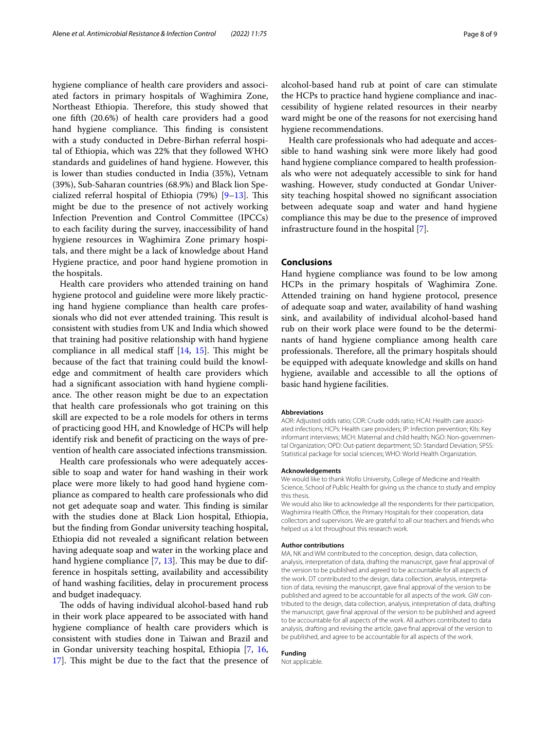hygiene compliance of health care providers and associated factors in primary hospitals of Waghimira Zone, Northeast Ethiopia. Therefore, this study showed that one ffth (20.6%) of health care providers had a good hand hygiene compliance. This finding is consistent with a study conducted in Debre-Birhan referral hospital of Ethiopia, which was 22% that they followed WHO standards and guidelines of hand hygiene. However, this is lower than studies conducted in India (35%), Vetnam (39%), Sub-Saharan countries (68.9%) and Black lion Specialized referral hospital of Ethiopia  $(79%)$   $[9-13]$  $[9-13]$ . This might be due to the presence of not actively working Infection Prevention and Control Committee (IPCCs) to each facility during the survey, inaccessibility of hand hygiene resources in Waghimira Zone primary hospitals, and there might be a lack of knowledge about Hand

the hospitals. Health care providers who attended training on hand hygiene protocol and guideline were more likely practicing hand hygiene compliance than health care professionals who did not ever attended training. This result is consistent with studies from UK and India which showed that training had positive relationship with hand hygiene compliance in all medical staff  $[14, 15]$  $[14, 15]$  $[14, 15]$  $[14, 15]$ . This might be because of the fact that training could build the knowledge and commitment of health care providers which had a signifcant association with hand hygiene compliance. The other reason might be due to an expectation that health care professionals who got training on this skill are expected to be a role models for others in terms of practicing good HH, and Knowledge of HCPs will help identify risk and beneft of practicing on the ways of prevention of health care associated infections transmission.

Hygiene practice, and poor hand hygiene promotion in

Health care professionals who were adequately accessible to soap and water for hand washing in their work place were more likely to had good hand hygiene compliance as compared to health care professionals who did not get adequate soap and water. This finding is similar with the studies done at Black Lion hospital, Ethiopia, but the fnding from Gondar university teaching hospital, Ethiopia did not revealed a signifcant relation between having adequate soap and water in the working place and hand hygiene compliance  $[7, 13]$  $[7, 13]$  $[7, 13]$ . This may be due to difference in hospitals setting, availability and accessibility of hand washing facilities, delay in procurement process and budget inadequacy.

The odds of having individual alcohol-based hand rub in their work place appeared to be associated with hand hygiene compliance of health care providers which is consistent with studies done in Taiwan and Brazil and in Gondar university teaching hospital, Ethiopia [\[7](#page-8-6), [16](#page-8-12), 17. This might be due to the fact that the presence of alcohol-based hand rub at point of care can stimulate the HCPs to practice hand hygiene compliance and inaccessibility of hygiene related resources in their nearby ward might be one of the reasons for not exercising hand hygiene recommendations.

Health care professionals who had adequate and accessible to hand washing sink were more likely had good hand hygiene compliance compared to health professionals who were not adequately accessible to sink for hand washing. However, study conducted at Gondar University teaching hospital showed no signifcant association between adequate soap and water and hand hygiene compliance this may be due to the presence of improved infrastructure found in the hospital [\[7](#page-8-6)].

# **Conclusions**

Hand hygiene compliance was found to be low among HCPs in the primary hospitals of Waghimira Zone. Attended training on hand hygiene protocol, presence of adequate soap and water, availability of hand washing sink, and availability of individual alcohol-based hand rub on their work place were found to be the determinants of hand hygiene compliance among health care professionals. Therefore, all the primary hospitals should be equipped with adequate knowledge and skills on hand hygiene, available and accessible to all the options of basic hand hygiene facilities.

#### **Abbreviations**

AOR: Adjusted odds ratio; COR: Crude odds ratio; HCAI: Health care associated infections; HCPs: Health care providers; IP: Infection prevention; KIIs: Key informant interviews; MCH: Maternal and child health; NGO: Non-governmental Organization; OPD: Out-patient department; SD: Standard Deviation; SPSS: Statistical package for social sciences; WHO: World Health Organization.

#### **Acknowledgements**

We would like to thank Wollo University, College of Medicine and Health Science, School of Public Health for giving us the chance to study and employ this thesis.

We would also like to acknowledge all the respondents for their participation, Waghimira Health Office, the Primary Hospitals for their cooperation, data collectors and supervisors. We are grateful to all our teachers and friends who helped us a lot throughout this research work.

#### **Author contributions**

MA, NK and WM contributed to the conception, design, data collection, analysis, interpretation of data, drafting the manuscript, gave fnal approval of the version to be published and agreed to be accountable for all aspects of the work. DT contributed to the design, data collection, analysis, interpretation of data, revising the manuscript, gave fnal approval of the version to be published and agreed to be accountable for all aspects of the work. GW contributed to the design, data collection, analysis, interpretation of data, drafting the manuscript, gave fnal approval of the version to be published and agreed to be accountable for all aspects of the work. All authors contributed to data analysis, drafting and revising the article, gave fnal approval of the version to be published, and agree to be accountable for all aspects of the work.

#### **Funding**

Not applicable.